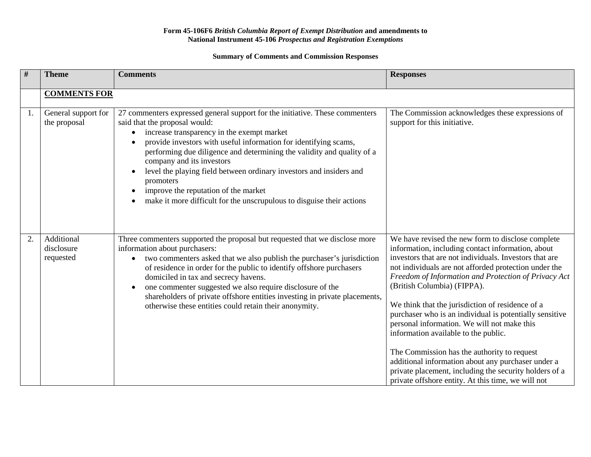## **Form 45-106F6** *British Columbia Report of Exempt Distribution* **and amendments to National Instrument 45-106** *Prospectus and Registration Exemptions*

## **Summary of Comments and Commission Responses**

| $\#$ | <b>Theme</b>                          | <b>Comments</b>                                                                                                                                                                                                                                                                                                                                                                                                                                                                                                                             | <b>Responses</b>                                                                                                                                                                                                                                                                                                                                                                                                                                                                                                                                                                                                                                                                                                                            |
|------|---------------------------------------|---------------------------------------------------------------------------------------------------------------------------------------------------------------------------------------------------------------------------------------------------------------------------------------------------------------------------------------------------------------------------------------------------------------------------------------------------------------------------------------------------------------------------------------------|---------------------------------------------------------------------------------------------------------------------------------------------------------------------------------------------------------------------------------------------------------------------------------------------------------------------------------------------------------------------------------------------------------------------------------------------------------------------------------------------------------------------------------------------------------------------------------------------------------------------------------------------------------------------------------------------------------------------------------------------|
|      | <b>COMMENTS FOR</b>                   |                                                                                                                                                                                                                                                                                                                                                                                                                                                                                                                                             |                                                                                                                                                                                                                                                                                                                                                                                                                                                                                                                                                                                                                                                                                                                                             |
| 1.   | General support for<br>the proposal   | 27 commenters expressed general support for the initiative. These commenters<br>said that the proposal would:<br>increase transparency in the exempt market<br>provide investors with useful information for identifying scams,<br>performing due diligence and determining the validity and quality of a<br>company and its investors<br>level the playing field between ordinary investors and insiders and<br>promoters<br>improve the reputation of the market<br>make it more difficult for the unscrupulous to disguise their actions | The Commission acknowledges these expressions of<br>support for this initiative.                                                                                                                                                                                                                                                                                                                                                                                                                                                                                                                                                                                                                                                            |
| 2.   | Additional<br>disclosure<br>requested | Three commenters supported the proposal but requested that we disclose more<br>information about purchasers:<br>two commenters asked that we also publish the purchaser's jurisdiction<br>of residence in order for the public to identify offshore purchasers<br>domiciled in tax and secrecy havens.<br>one commenter suggested we also require disclosure of the<br>shareholders of private offshore entities investing in private placements,<br>otherwise these entities could retain their anonymity.                                 | We have revised the new form to disclose complete<br>information, including contact information, about<br>investors that are not individuals. Investors that are<br>not individuals are not afforded protection under the<br>Freedom of Information and Protection of Privacy Act<br>(British Columbia) (FIPPA).<br>We think that the jurisdiction of residence of a<br>purchaser who is an individual is potentially sensitive<br>personal information. We will not make this<br>information available to the public.<br>The Commission has the authority to request<br>additional information about any purchaser under a<br>private placement, including the security holders of a<br>private offshore entity. At this time, we will not |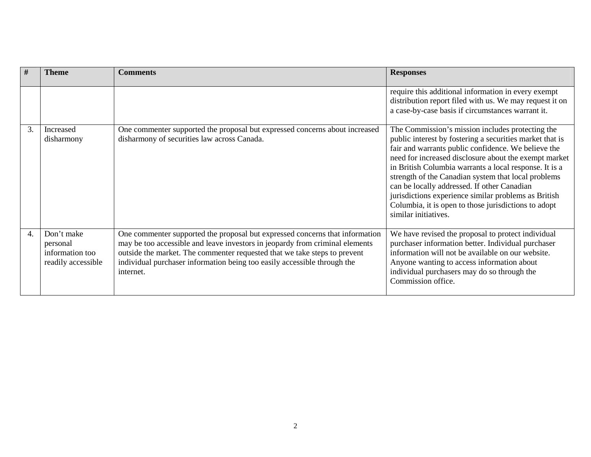| #  | <b>Theme</b>                                                    | <b>Comments</b>                                                                                                                                                                                                                                                                                                                    | <b>Responses</b>                                                                                                                                                                                                                                                                                                                                                                                                                                                                                                                     |
|----|-----------------------------------------------------------------|------------------------------------------------------------------------------------------------------------------------------------------------------------------------------------------------------------------------------------------------------------------------------------------------------------------------------------|--------------------------------------------------------------------------------------------------------------------------------------------------------------------------------------------------------------------------------------------------------------------------------------------------------------------------------------------------------------------------------------------------------------------------------------------------------------------------------------------------------------------------------------|
|    |                                                                 |                                                                                                                                                                                                                                                                                                                                    | require this additional information in every exempt<br>distribution report filed with us. We may request it on<br>a case-by-case basis if circumstances warrant it.                                                                                                                                                                                                                                                                                                                                                                  |
| 3. | Increased<br>disharmony                                         | One commenter supported the proposal but expressed concerns about increased<br>disharmony of securities law across Canada.                                                                                                                                                                                                         | The Commission's mission includes protecting the<br>public interest by fostering a securities market that is<br>fair and warrants public confidence. We believe the<br>need for increased disclosure about the exempt market<br>in British Columbia warrants a local response. It is a<br>strength of the Canadian system that local problems<br>can be locally addressed. If other Canadian<br>jurisdictions experience similar problems as British<br>Columbia, it is open to those jurisdictions to adopt<br>similar initiatives. |
| 4. | Don't make<br>personal<br>information too<br>readily accessible | One commenter supported the proposal but expressed concerns that information<br>may be too accessible and leave investors in jeopardy from criminal elements<br>outside the market. The commenter requested that we take steps to prevent<br>individual purchaser information being too easily accessible through the<br>internet. | We have revised the proposal to protect individual<br>purchaser information better. Individual purchaser<br>information will not be available on our website.<br>Anyone wanting to access information about<br>individual purchasers may do so through the<br>Commission office.                                                                                                                                                                                                                                                     |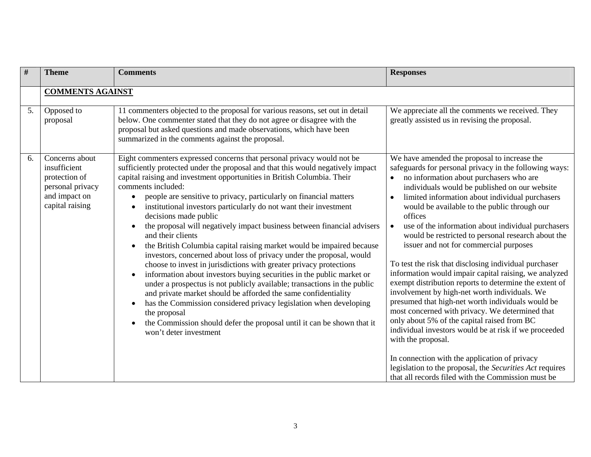| #  | <b>Theme</b>                                                                                            | <b>Comments</b>                                                                                                                                                                                                                                                                                                                                                                                                                                                                                                                                                                                                                                                                                                                                                                                                                                                                                                                                                                                                                                                                                                                                                                                 | <b>Responses</b>                                                                                                                                                                                                                                                                                                                                                                                                                                                                                                                                                                                                                                                                                                                                                                                                                                                                                                                                                                                                                                                                                                          |
|----|---------------------------------------------------------------------------------------------------------|-------------------------------------------------------------------------------------------------------------------------------------------------------------------------------------------------------------------------------------------------------------------------------------------------------------------------------------------------------------------------------------------------------------------------------------------------------------------------------------------------------------------------------------------------------------------------------------------------------------------------------------------------------------------------------------------------------------------------------------------------------------------------------------------------------------------------------------------------------------------------------------------------------------------------------------------------------------------------------------------------------------------------------------------------------------------------------------------------------------------------------------------------------------------------------------------------|---------------------------------------------------------------------------------------------------------------------------------------------------------------------------------------------------------------------------------------------------------------------------------------------------------------------------------------------------------------------------------------------------------------------------------------------------------------------------------------------------------------------------------------------------------------------------------------------------------------------------------------------------------------------------------------------------------------------------------------------------------------------------------------------------------------------------------------------------------------------------------------------------------------------------------------------------------------------------------------------------------------------------------------------------------------------------------------------------------------------------|
|    | <b>COMMENTS AGAINST</b>                                                                                 |                                                                                                                                                                                                                                                                                                                                                                                                                                                                                                                                                                                                                                                                                                                                                                                                                                                                                                                                                                                                                                                                                                                                                                                                 |                                                                                                                                                                                                                                                                                                                                                                                                                                                                                                                                                                                                                                                                                                                                                                                                                                                                                                                                                                                                                                                                                                                           |
| 5. | Opposed to<br>proposal                                                                                  | 11 commenters objected to the proposal for various reasons, set out in detail<br>below. One commenter stated that they do not agree or disagree with the<br>proposal but asked questions and made observations, which have been<br>summarized in the comments against the proposal.                                                                                                                                                                                                                                                                                                                                                                                                                                                                                                                                                                                                                                                                                                                                                                                                                                                                                                             | We appreciate all the comments we received. They<br>greatly assisted us in revising the proposal.                                                                                                                                                                                                                                                                                                                                                                                                                                                                                                                                                                                                                                                                                                                                                                                                                                                                                                                                                                                                                         |
| 6. | Concerns about<br>insufficient<br>protection of<br>personal privacy<br>and impact on<br>capital raising | Eight commenters expressed concerns that personal privacy would not be<br>sufficiently protected under the proposal and that this would negatively impact<br>capital raising and investment opportunities in British Columbia. Their<br>comments included:<br>people are sensitive to privacy, particularly on financial matters<br>institutional investors particularly do not want their investment<br>decisions made public<br>the proposal will negatively impact business between financial advisers<br>and their clients<br>the British Columbia capital raising market would be impaired because<br>$\bullet$<br>investors, concerned about loss of privacy under the proposal, would<br>choose to invest in jurisdictions with greater privacy protections<br>information about investors buying securities in the public market or<br>$\bullet$<br>under a prospectus is not publicly available; transactions in the public<br>and private market should be afforded the same confidentiality<br>has the Commission considered privacy legislation when developing<br>the proposal<br>the Commission should defer the proposal until it can be shown that it<br>won't deter investment | We have amended the proposal to increase the<br>safeguards for personal privacy in the following ways:<br>no information about purchasers who are<br>$\bullet$<br>individuals would be published on our website<br>limited information about individual purchasers<br>would be available to the public through our<br>offices<br>use of the information about individual purchasers<br>would be restricted to personal research about the<br>issuer and not for commercial purposes<br>To test the risk that disclosing individual purchaser<br>information would impair capital raising, we analyzed<br>exempt distribution reports to determine the extent of<br>involvement by high-net worth individuals. We<br>presumed that high-net worth individuals would be<br>most concerned with privacy. We determined that<br>only about 5% of the capital raised from BC<br>individual investors would be at risk if we proceeded<br>with the proposal.<br>In connection with the application of privacy<br>legislation to the proposal, the Securities Act requires<br>that all records filed with the Commission must be |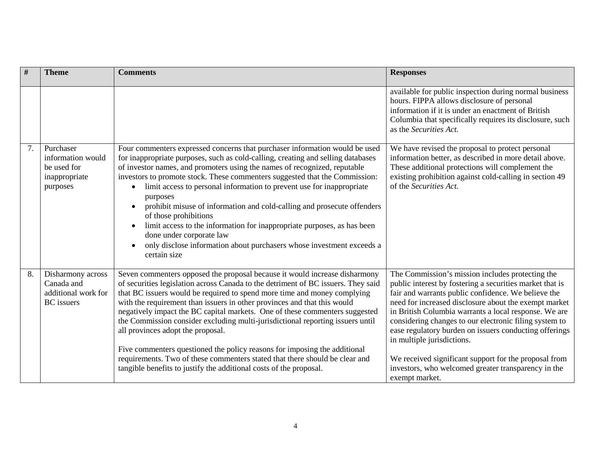| $\#$ | <b>Theme</b>                                                                | <b>Comments</b>                                                                                                                                                                                                                                                                                                                                                                                                                                                                                                                                                                                                                                                                                                                                                 | <b>Responses</b>                                                                                                                                                                                                                                                                                                                                                                                                                                                                                                                                                          |
|------|-----------------------------------------------------------------------------|-----------------------------------------------------------------------------------------------------------------------------------------------------------------------------------------------------------------------------------------------------------------------------------------------------------------------------------------------------------------------------------------------------------------------------------------------------------------------------------------------------------------------------------------------------------------------------------------------------------------------------------------------------------------------------------------------------------------------------------------------------------------|---------------------------------------------------------------------------------------------------------------------------------------------------------------------------------------------------------------------------------------------------------------------------------------------------------------------------------------------------------------------------------------------------------------------------------------------------------------------------------------------------------------------------------------------------------------------------|
|      |                                                                             |                                                                                                                                                                                                                                                                                                                                                                                                                                                                                                                                                                                                                                                                                                                                                                 | available for public inspection during normal business<br>hours. FIPPA allows disclosure of personal<br>information if it is under an enactment of British<br>Columbia that specifically requires its disclosure, such<br>as the Securities Act.                                                                                                                                                                                                                                                                                                                          |
| 7.   | Purchaser<br>information would<br>be used for<br>inappropriate<br>purposes  | Four commenters expressed concerns that purchaser information would be used<br>for inappropriate purposes, such as cold-calling, creating and selling databases<br>of investor names, and promoters using the names of recognized, reputable<br>investors to promote stock. These commenters suggested that the Commission:<br>limit access to personal information to prevent use for inappropriate<br>purposes<br>prohibit misuse of information and cold-calling and prosecute offenders<br>of those prohibitions<br>limit access to the information for inappropriate purposes, as has been<br>done under corporate law<br>only disclose information about purchasers whose investment exceeds a<br>certain size                                            | We have revised the proposal to protect personal<br>information better, as described in more detail above.<br>These additional protections will complement the<br>existing prohibition against cold-calling in section 49<br>of the Securities Act.                                                                                                                                                                                                                                                                                                                       |
| 8.   | Disharmony across<br>Canada and<br>additional work for<br><b>BC</b> issuers | Seven commenters opposed the proposal because it would increase disharmony<br>of securities legislation across Canada to the detriment of BC issuers. They said<br>that BC issuers would be required to spend more time and money complying<br>with the requirement than issuers in other provinces and that this would<br>negatively impact the BC capital markets. One of these commenters suggested<br>the Commission consider excluding multi-jurisdictional reporting issuers until<br>all provinces adopt the proposal.<br>Five commenters questioned the policy reasons for imposing the additional<br>requirements. Two of these commenters stated that there should be clear and<br>tangible benefits to justify the additional costs of the proposal. | The Commission's mission includes protecting the<br>public interest by fostering a securities market that is<br>fair and warrants public confidence. We believe the<br>need for increased disclosure about the exempt market<br>in British Columbia warrants a local response. We are<br>considering changes to our electronic filing system to<br>ease regulatory burden on issuers conducting offerings<br>in multiple jurisdictions.<br>We received significant support for the proposal from<br>investors, who welcomed greater transparency in the<br>exempt market. |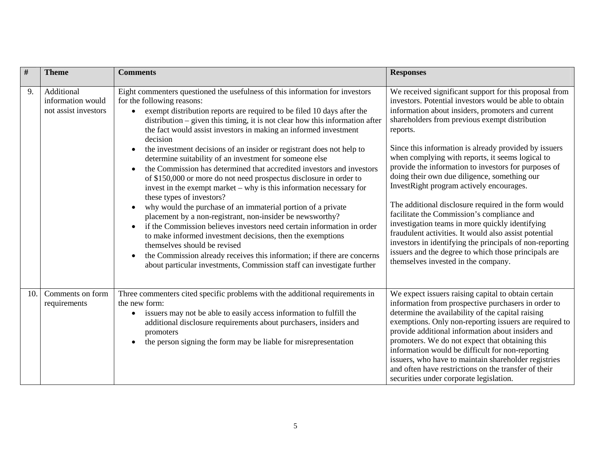| #   | <b>Theme</b>                                            | <b>Comments</b>                                                                                                                                                                                                                                                                                                                                                                                                                                                                                                                                                                                                                                                                                                                                                                                                                                                                                                                                                                                                                                                                                                                                                                                                                   | <b>Responses</b>                                                                                                                                                                                                                                                                                                                                                                                                                                                                                                                                                                                                                                                                                                                                                                                                                                                                  |
|-----|---------------------------------------------------------|-----------------------------------------------------------------------------------------------------------------------------------------------------------------------------------------------------------------------------------------------------------------------------------------------------------------------------------------------------------------------------------------------------------------------------------------------------------------------------------------------------------------------------------------------------------------------------------------------------------------------------------------------------------------------------------------------------------------------------------------------------------------------------------------------------------------------------------------------------------------------------------------------------------------------------------------------------------------------------------------------------------------------------------------------------------------------------------------------------------------------------------------------------------------------------------------------------------------------------------|-----------------------------------------------------------------------------------------------------------------------------------------------------------------------------------------------------------------------------------------------------------------------------------------------------------------------------------------------------------------------------------------------------------------------------------------------------------------------------------------------------------------------------------------------------------------------------------------------------------------------------------------------------------------------------------------------------------------------------------------------------------------------------------------------------------------------------------------------------------------------------------|
| 9.  | Additional<br>information would<br>not assist investors | Eight commenters questioned the usefulness of this information for investors<br>for the following reasons:<br>exempt distribution reports are required to be filed 10 days after the<br>distribution – given this timing, it is not clear how this information after<br>the fact would assist investors in making an informed investment<br>decision<br>the investment decisions of an insider or registrant does not help to<br>determine suitability of an investment for someone else<br>the Commission has determined that accredited investors and investors<br>of \$150,000 or more do not need prospectus disclosure in order to<br>invest in the exempt market $-$ why is this information necessary for<br>these types of investors?<br>why would the purchase of an immaterial portion of a private<br>$\bullet$<br>placement by a non-registrant, non-insider be newsworthy?<br>if the Commission believes investors need certain information in order<br>to make informed investment decisions, then the exemptions<br>themselves should be revised<br>the Commission already receives this information; if there are concerns<br>$\bullet$<br>about particular investments, Commission staff can investigate further | We received significant support for this proposal from<br>investors. Potential investors would be able to obtain<br>information about insiders, promoters and current<br>shareholders from previous exempt distribution<br>reports.<br>Since this information is already provided by issuers<br>when complying with reports, it seems logical to<br>provide the information to investors for purposes of<br>doing their own due diligence, something our<br>InvestRight program actively encourages.<br>The additional disclosure required in the form would<br>facilitate the Commission's compliance and<br>investigation teams in more quickly identifying<br>fraudulent activities. It would also assist potential<br>investors in identifying the principals of non-reporting<br>issuers and the degree to which those principals are<br>themselves invested in the company. |
| 10. | Comments on form<br>requirements                        | Three commenters cited specific problems with the additional requirements in<br>the new form:<br>issuers may not be able to easily access information to fulfill the<br>additional disclosure requirements about purchasers, insiders and<br>promoters<br>the person signing the form may be liable for misrepresentation                                                                                                                                                                                                                                                                                                                                                                                                                                                                                                                                                                                                                                                                                                                                                                                                                                                                                                         | We expect issuers raising capital to obtain certain<br>information from prospective purchasers in order to<br>determine the availability of the capital raising<br>exemptions. Only non-reporting issuers are required to<br>provide additional information about insiders and<br>promoters. We do not expect that obtaining this<br>information would be difficult for non-reporting<br>issuers, who have to maintain shareholder registries<br>and often have restrictions on the transfer of their<br>securities under corporate legislation.                                                                                                                                                                                                                                                                                                                                  |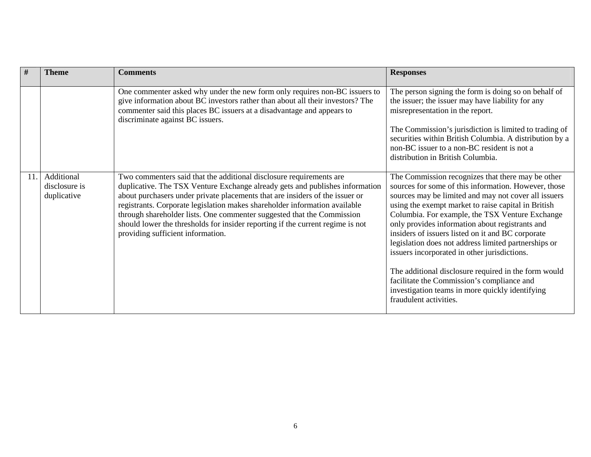| #  | <b>Theme</b>                               | <b>Comments</b>                                                                                                                                                                                                                                                                                                                                                                                                                                                                                                    | <b>Responses</b>                                                                                                                                                                                                                                                                                                                                                                                                                                                                                                                                                                                                                                                               |
|----|--------------------------------------------|--------------------------------------------------------------------------------------------------------------------------------------------------------------------------------------------------------------------------------------------------------------------------------------------------------------------------------------------------------------------------------------------------------------------------------------------------------------------------------------------------------------------|--------------------------------------------------------------------------------------------------------------------------------------------------------------------------------------------------------------------------------------------------------------------------------------------------------------------------------------------------------------------------------------------------------------------------------------------------------------------------------------------------------------------------------------------------------------------------------------------------------------------------------------------------------------------------------|
|    |                                            | One commenter asked why under the new form only requires non-BC issuers to<br>give information about BC investors rather than about all their investors? The<br>commenter said this places BC issuers at a disadvantage and appears to<br>discriminate against BC issuers.                                                                                                                                                                                                                                         | The person signing the form is doing so on behalf of<br>the issuer; the issuer may have liability for any<br>misrepresentation in the report.<br>The Commission's jurisdiction is limited to trading of<br>securities within British Columbia. A distribution by a<br>non-BC issuer to a non-BC resident is not a<br>distribution in British Columbia.                                                                                                                                                                                                                                                                                                                         |
| 11 | Additional<br>disclosure is<br>duplicative | Two commenters said that the additional disclosure requirements are<br>duplicative. The TSX Venture Exchange already gets and publishes information<br>about purchasers under private placements that are insiders of the issuer or<br>registrants. Corporate legislation makes shareholder information available<br>through shareholder lists. One commenter suggested that the Commission<br>should lower the thresholds for insider reporting if the current regime is not<br>providing sufficient information. | The Commission recognizes that there may be other<br>sources for some of this information. However, those<br>sources may be limited and may not cover all issuers<br>using the exempt market to raise capital in British<br>Columbia. For example, the TSX Venture Exchange<br>only provides information about registrants and<br>insiders of issuers listed on it and BC corporate<br>legislation does not address limited partnerships or<br>issuers incorporated in other jurisdictions.<br>The additional disclosure required in the form would<br>facilitate the Commission's compliance and<br>investigation teams in more quickly identifying<br>fraudulent activities. |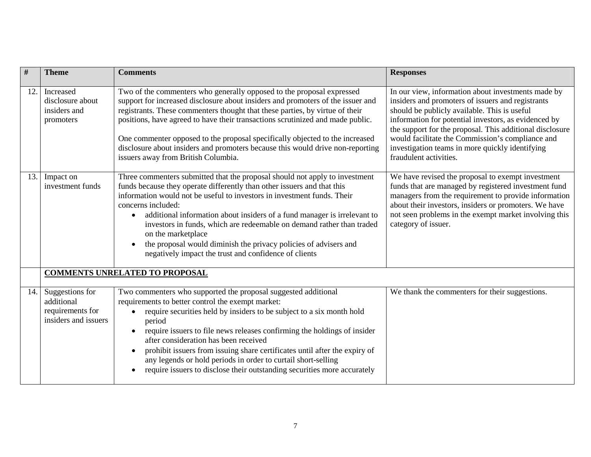| $\#$ | <b>Theme</b>                                                              | <b>Comments</b>                                                                                                                                                                                                                                                                                                                                                                                                                                                                                                                                                                  | <b>Responses</b>                                                                                                                                                                                                                                                                                                                                                                                             |
|------|---------------------------------------------------------------------------|----------------------------------------------------------------------------------------------------------------------------------------------------------------------------------------------------------------------------------------------------------------------------------------------------------------------------------------------------------------------------------------------------------------------------------------------------------------------------------------------------------------------------------------------------------------------------------|--------------------------------------------------------------------------------------------------------------------------------------------------------------------------------------------------------------------------------------------------------------------------------------------------------------------------------------------------------------------------------------------------------------|
| 12.  | Increased<br>disclosure about<br>insiders and<br>promoters                | Two of the commenters who generally opposed to the proposal expressed<br>support for increased disclosure about insiders and promoters of the issuer and<br>registrants. These commenters thought that these parties, by virtue of their<br>positions, have agreed to have their transactions scrutinized and made public.<br>One commenter opposed to the proposal specifically objected to the increased<br>disclosure about insiders and promoters because this would drive non-reporting<br>issuers away from British Columbia.                                              | In our view, information about investments made by<br>insiders and promoters of issuers and registrants<br>should be publicly available. This is useful<br>information for potential investors, as evidenced by<br>the support for the proposal. This additional disclosure<br>would facilitate the Commission's compliance and<br>investigation teams in more quickly identifying<br>fraudulent activities. |
| 13.1 | Impact on<br>investment funds                                             | Three commenters submitted that the proposal should not apply to investment<br>funds because they operate differently than other issuers and that this<br>information would not be useful to investors in investment funds. Their<br>concerns included:<br>additional information about insiders of a fund manager is irrelevant to<br>$\bullet$<br>investors in funds, which are redeemable on demand rather than traded<br>on the marketplace<br>the proposal would diminish the privacy policies of advisers and<br>negatively impact the trust and confidence of clients     | We have revised the proposal to exempt investment<br>funds that are managed by registered investment fund<br>managers from the requirement to provide information<br>about their investors, insiders or promoters. We have<br>not seen problems in the exempt market involving this<br>category of issuer.                                                                                                   |
|      |                                                                           | <b>COMMENTS UNRELATED TO PROPOSAL</b>                                                                                                                                                                                                                                                                                                                                                                                                                                                                                                                                            |                                                                                                                                                                                                                                                                                                                                                                                                              |
| 14.  | Suggestions for<br>additional<br>requirements for<br>insiders and issuers | Two commenters who supported the proposal suggested additional<br>requirements to better control the exempt market:<br>require securities held by insiders to be subject to a six month hold<br>$\bullet$<br>period<br>require issuers to file news releases confirming the holdings of insider<br>$\bullet$<br>after consideration has been received<br>prohibit issuers from issuing share certificates until after the expiry of<br>any legends or hold periods in order to curtail short-selling<br>require issuers to disclose their outstanding securities more accurately | We thank the commenters for their suggestions.                                                                                                                                                                                                                                                                                                                                                               |